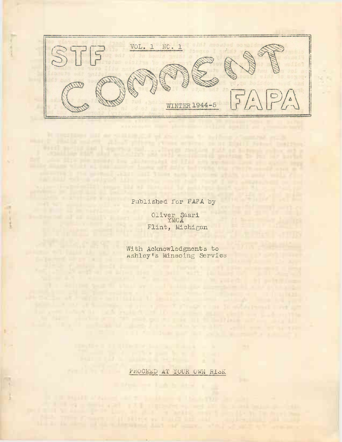

Published for FAPA by

will have been as a line what the brand and

Oliver Saari YMCA Flint, Michigan ustrate to be a pet f<br>see fundidate a pet

With Acknowledgments to Ashley's Mineoing Service

THE R. P. LEWIS CO., LANSING MICH.

PROCEED AT YOUR OWN RISK

and the state of the state of the state of

The first provided by the con-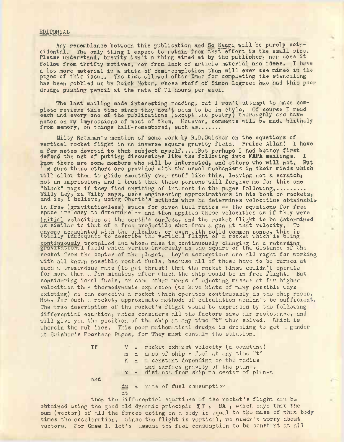#### EDITORIAL

Any resemblance between this publication and So Saari will be purely coincidental. The only thing I expect to retain from that effort is the small size. Please understand, brevity isn't a thing aimed at by the publisher, nor does it follow from thrifty motives, nor from lack of article material and ideas. I have a lot more material in a state of semi-completion than will ever see mimeo in the pages of this issue. The time allowed after Xmas for completing the stenciling has been gobbled up by Buick Motor, whose staff of Simon Legrees has had this poor drudge pushing pencil at the rate of 71 hours per week.

The last mailing made interesting reading, but I won't attempt to make complete reviews this time since they don't seem to be in style. Of course I read each and every one of the publications (except the poetry) thoroughly and have notes on my impressions of most of them. However, comments will be made blithely<br>from memory, on things half-remembered, such as.......

Milty Rothman's mention of some work by R.D.Swisher on the equations of vertical rocket flight in an inverse square gravity field. Praise Allah! I have vertical rocket flight in an inverse square gravity field. Praise Allah: I ha<br>a few notes devoted to that subject myself.....But perhaps I had better first<br>defend the act of putting discussions like the following into FAPA kpow there are some members who will be interested, and others who will not. But In sure these others are provided with the usual mechanisms in their minds which will allow, them to glide smoothly over stuff like this, leaving not a scratch, not an impression, and I trust that these persons will forgive me for this one "blank" page if they find anything of interest in the pages following......... Willy Ley, as Milty says, uses engineering approximations in his book on rockets, and is, I believe, using Oberth's methods when he determines velocities obtainable in free (gravitationless) space for given fuel ratios — the equations for free space are easy to determine -- and then applies these velocities as if they were initial velocities at the earth's surface, and the rocket flight to be determined us similar to that of a free projectile shot from a gun at that velocity. To anyone acquainted with the calculus, or even with solid common sense, this is totally inadequate to describe the vertical flight of a rocket which is being continuously propelled and whose mass is continuously changing in a retarding continuously properied and whose mass is continuously changing in a retarding<br>gravitational field which varies inversely as the square of the distance of the rocket from the center of the planet. Ley's assumptions are all right for working with all known possible rocket fuels, because all of these have to be burned at such a tremendous rate (to get thrust) that the rocket blast couldn't operate for more than a few minutes, after which the ship would be in free flight. But considering ideal fuels, or some other means of ejecting masses at far higher velocities thin thermodynamic expansion (we hive hints of many possible ways existing) we can conceive a rocket which operates continuously as the ship rises. Now, for such a rocket, approximate methods of calculation wouldn't be sufficient. The true description of the rocket's flight would be expressed by the following differential equation, which considers all the factors save air resistance, and will give you the position of the ship at any time "t" when solved. Which is wherein the rub lies. This poor mathematical drudge is drooling to get a gander at Swisher's Fourteen Pages, for They must contain the solution.

> If  $V =$  rocket exhaust velocity (a constant)  $m =$  mass of ship  $*$  fuel at any time "t"  $K =$  constant depending on the radius and surf;ce gravity of the planet  $x =$  distance from ship to center of planet and

dm = rate of fuel consumption dt

then the differential equations of the rocket's flight can be obtained using the good old dynamic principle  $\Sigma \mathbb{F}$  = MA , which says that the sum (vector) of all the forces acting on a body is equal to the mass of that body times the acceleration. Since the flight is vertical, we needn't worry about vectors. For Case I. let's assume the fuel consumption to be constant at all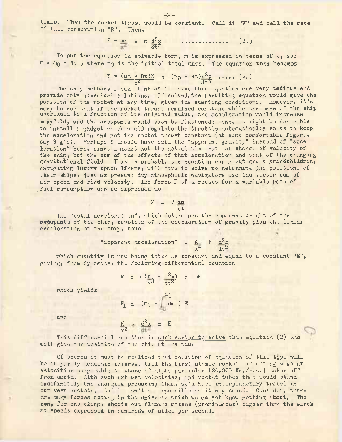times, Then the rocket thrust would be constant. Call it "F" and call the rate of fuel consumption "R". Then,

> $F - mK = m d^2x$  ............... (1.)  $\frac{d}{dt}\hat{z}$

To put the equation in solvable form, m is expressed in terms of t, so:  $m = m<sub>0</sub>$  - Rt, where  $m<sub>0</sub>$  is the initial total mass. The equation then becomes

> $F - (m_0 - Rt)K = (m_0 - Rt)d^2x$  ..... (2.)  $x^2$  dt<sup>2</sup>

The only methods I can think of to solve this equation are very tedious and provide only numerical solutions. If solved, the resulting equation would give the position of the rocket at any time, given the starting conditions. However, it's easy to see that if the rocket thrust remained constant while the mass of the ship decreased to a fraction of its original value, the acceleration would increase manyfold, and the occupants would soon be flattened; hence it might be desirable to install a gadget which would regulate the throttle automatically so as to keep the acceleration and not the rocket thrust constant (at some comfortable figure, say <sup>3</sup> g's). Perhaps I should have said the "apparent gravity" instead of "acceleration" here, since I meant not the actual time rate of change of velocity of the ship, but the sum of the effects of that acceleration and that of the changing gravitational field. This is probably the equation our great-great grandchildren, navigating luxury space liners, will have to solve to determine the positions of their ships, just as present day atmospheric navigators use the vector sum of air speed and wind velocity. The force <sup>F</sup> of a rocket for a variable rate of fuel consumption can be expressed as

$$
F = V \frac{dm}{dt}
$$

The "total acceleration", which determines the apparent weight of the **occupants** of the ship, consists of the acceleration of gravity plus the linear acceleration of the ship, thus

> "apparent acceleration" =  $K + d^2x$  $x^2$  dt<sup>2</sup>

which quantity is now being taken as constant and equal to a constant "E", giving, from dynamics, the following differential equation

$$
F = m \left(\frac{K}{x^2} + \frac{d^2x}{dt^2}\right) = mE
$$

which yields

$$
F_1 = (m_0 + \begin{bmatrix} \omega_1 \\ dm \end{bmatrix}) E
$$

 $d^2x = E$ 

đŧ

K  $x^2$ 

and

This differential equation is 
$$
\frac{m \cdot c}{m}
$$
 to solve then equation (2) and will give the position of the ship it:

Of course it must be realized that solution of equation of this type will be of purely academic interest till the first atomic rocket exhausting mass at velocities comparable to those of alpha particles (20,000 Km./sec.) takes off from earth. With such exhaust velocities, and rocket tubes that would stand indefinitely the energied producing them, we'd have interplanetary travel in our vest pockets. And it isn't as impossible as it may sound. Consider, there are many forces acting in the universe which we as yet know nothing about. The **ewn,** for one thing, shoots out flaming masses (prominences) bigger than the earth at speeds expressed in hundreds of miles per second.

-2-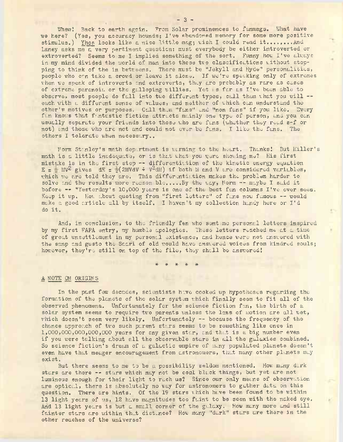Whew! Back to earth again. From Solar prominences to fanmags, What have we here? (Yes, you accuracy hounds; I've abandoned memory for some more positive stimulus.) Yhos looks like a nice little mag; wish I could read it....,... And Laney asks me a very pertinent question: must everybody be either introverted or extroverted? Seems to me I implied something of the sort. Funny how I've always in my mind divided the world of man into these two classifications without stopping to think of the in betweens. There must be "Jekyll and Hyde" personalities, people who ern take <sup>a</sup> crowd or leave it alone. If we're speaking only of extremes when we speak of introverts and extroverts, they are probably as rare as cases of extreme paranoia or the galloping willies. Yet as far as I've been able to observe, most people do fall into two different types, call them what you will  $$ each with a different sense of values, and neither of which can understand the other's motives or purposes. Call thim "funs" and "non fans" if you like. Every fan knows that fantastic fiction attracts mainly one type of person, and you can usually separate your friends into those who are funs (whether they read s-f or not) and those who are not and could not ever bo funs. I like the funs. The others I tolerate when necessary...

Form Stanley's math department is warming to the heart. Thunks! But Miller's math is <sup>a</sup> little inadequate, or is that what you xvere showing me? His first mistake is in the first step -- differentiation of the kinetic energy equation  $E = MV^2$  gives  $dE = g(2MVdV + V^2dM)$  if both M and V are considered variables, which we are told they are. This differentiation makes the problem harder to solve and the results more reasonable..... By the way, Norm -- maybe I said it before -- "Yesterday's 10,000 years is one of the best fan columns I've ever seen. Keep it up. Hqu about quoting from "first letters" of funs now famous -- would make a good article all by itself. I haven't my collection handy here or I'd do It.

And, in conclusion, to the friendly fen who sent me personal letters inspired by my first FAPA entry, my humble apologies. These letters reached me at a time of great unsettloment in my personal existence, and hence were not answered with the samp and gusto the Saari of old would have answered voices from kindred souls; however, they're still on top of the file, they shall be answered!

hofile, they<br>\* \* \* \* \*

## A NOTE ON ORIGINS

In the past few decades, scientists have cooked up hypotheses regarding the formation of the planets of the solar system which finally seem to fit all of the observed phenomena. Unfortunately for the science fiction fan, the birth of a solar system seems to require two parents unless the laws of motion are all wet, which doesn't seem very likely. Unfortunately -- because the frequency of the chance approach of two such parent stars seems to be something like once in 1,000,000,000,000,000 years for any given star, and that is a big number even if you were talking about all the observable stars in all the galaxies combined. So science fiction's dream of a galactic empire of many populated planets doesn't even have that meager encouragement from astronomers, that many other planets may exist.

But there seems to me to be a possibility seldom mentioned. How many dark stars are there -- stars which may not be coal black things, but yet are not luminous enough for their light to rach us? Since our only means of observation are optical, there is absolutely no way for astronomers to gather data on this question. There are hints. Of the <sup>19</sup> stars which have been found to be within 13 light years of us, 12 have magnitudes too faint to be seen with the naked eye. And 13 light years is but a small corner of the galaxy. How many more and still fainter stars are within that distance? How many "dark" stars are there in the other reaches of the universe?

I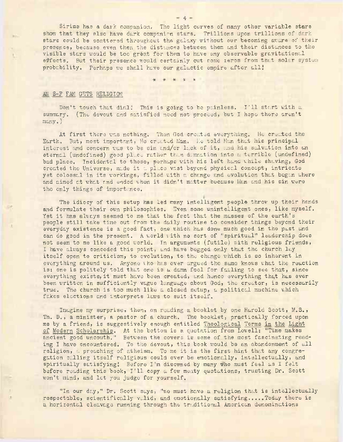Sirius has a dark companion. The light curves of many other variable stars show that they also have dark companion stars. Trillions upon trillions of dark stars could be scattered throughout the galaxy without our becoming aware of their presence, because even then the distances between them and their distances to the visible stars would be too gréat for them to have any observable gravitational effects. But their presence would certainly cut some zeros from that solar system probability. Perhaps we shall have our galactic empire after all!

 $*$   $*$   $*$   $*$ 

# AN S-F FAM GETS RELIGION

Don't touch that dial! This is going to be painless. I'll start with a summary. (The devout and satisfied need not proceed, but I hope there aren't many.)

At first there was nothing. Then God created everything. He created the Earth. But, most important, He created Man. He told Man that his principal interest and concern was to be sin and/or lack of it, and his salvation into an eternal (undefined) good place rather than demnation into a terrible (undefined) bad place. Incidental to those, perhaps with his left hand while shaving, God created the Universe, made it a place vast beyond physical concept, intricate yet colossal in its workings, filled with a change and evolution that began where and aimed at what and ended when it didn't matter because Man and his sin were the only things of importance.

The idiocy of this setup has led many intelligent people throw up their hands and formulate their own philosophies. Even some unintelligent ones, like myself. Yet it has always seemed to me that the fact that the masses of the earth's people still take time out from the daily routine to consider things beyond their everyday existence is a good fact, one which has done much good in the past and can do good in the present. A world with no sort of "spiritual" leadership does not seem to me like a good world. In arguments (futile) with religious friends, I have always conceded this point, and have begged only that the church lay itself open to criticism, to evolution, to the change which is so inherent in everything around us. Anyone who has ever argued the same knows what the reaction is: one is politely told that one is a damn fool for failing to see that, since everything exists, it must have been created, and henco everything that has ever been written in sufficiently vague language about God, the creator, is necessarily true. The church is too much like a closed setup, a political machine which fakes elections and interprets laws to suit itself.

Imagine my surprise, then, on reading a booklet by one Harold Scott, M.S., Th. D., a minister, a pastor of a church. The booklet, practically forced upon me by a friend, is suggestively enough entitled Theological Terms in the Light of Modern Scholarship. At the bottom is a quotation from Lowell: "Time makes ancient good uncouth." Between the covers is some of the most fascinating reading I have encountered. To the devout, this book would be an abandonment of all religion, a preaching of atheism. To me it is the first hint that any congregation culling itself religious could ever be emotionally, intellectually, and spiritually satisfying! Before I'm disowned by many who must feel as I felt before reading this book, I'll copy a few meaty quotations, trusting Dr. Scott won't mind, and let you judge for yourself.

"In our day," Dr. Scott says, "we must have a religion that is intellectually respectable, scientifically valid, and emotionally satisfying.....Today there is a horizontal cleavage running through the traditional American denominations

 $= 4 -$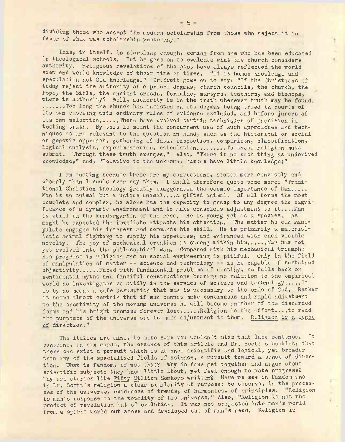dividing those who accept the modern scholarship from those who reject it in favor of what was acholarship yesterday."

This, in itself, is startling enough, coming from one who has been educated in theological schools. But he goes on to evaluate what the church considers authority. Religious revelations of the past have always reflected the world view and world knowledge of their time or times, "It is.human knowledge and speculation not God knowledge." Dr.Scott goes on to say: "If the Christians of today reject the authority of & priori dogmas, church councils, the church, the Pope, the Bible, the ancient creeds, formulae, martyrs, teachers, and bishops, where is authority? Well, authority is in the truth wherever truth may be found. .......Too long the church has insisted on its dogmas being tried in courts of its own choosing with ordinary rules of evidence excluded, and before jurors of its own selection......There have evolved certain techniques of precision in testing truth. By this is meant the concurrent use of such approaches and techniques as are relevant to the question in hand, such as the historical or social or genetic approach, gathering of data, inspection, comparison, classification, logical analysis, experimentation, calculation........... To these religion must submit. Through these truth emerges." Also, "There is no such thing as underived knowledge," and, "Relative to the unknown, humans have little knowledge.'"

I am quoting because these are my convictions, stated more concisely and clearly than I could ever say them. I shall therefore quote some more: "Traditional Christian theology greatly exaggerated the cosmic importance of Man..... Man is an animal but a unique animal....a gifted animal. Of all forms the most complete and complex, he alone has the capacity to grasp to any degree the significance of a dynamic environment and to make conscious adjustment to it....Man is still in the kindergarten of the race. He is young yet as a species. As might be expected the immediate attracts his attention. The matter he can manipulate engages his interest and commands his skill. He is primarily a materialistic animal fighting to supply his appetites, and entranced with each visible novelty. The joy of mechanical creation is strong within him....... Man has not yet evolved into the philosophical man. Compared with his mechanical triumphs his progress in religion and in social engineering is pitiful. Only in the field of manipulation of matter -- science and technology -- is he capable of sustained objectivity...........Faced with fundamental problems of destiny, he fulls back on sentimental myths and fanciful constructions bearing no relation to the empirical world he investigates so avidly in the service of science and technology.....It is by no means a safe assumption that man is necessary to the ends of God. Rather it seems almost certain that if man cannot make continuous and rapid adjustment to the creativity of the moving universe he will become another of the discarded forms and his bright promise forever lost......Religion is the effort....to read the purposes of the universe and to make adjustment to them. Religion is a sense of direction."

The italics are mine, to make sure you wouldn't miss that last sentence. It contains, in six words, the essence of this article and Dr. Scott's booklet: that there can exist a pursuit which is at once scientific and logical, yet broader than any of the specialized 'fields of science, a pursuit toward a sense of direction. What is fandom, if not that? Why do fans get together and argue about scientific subjects they know little about, yet feel enough to make progress? Why are stories like Fifty Million Monkeys written? Here we see in fandom and in Dr. Scott's religion a clear similarity of purpose: to observe, in the processes of the universe, evidences of trends, of harmonies, of principles. Religion is man's response to the totality of his universe." Also, "Religion is not the product of revelation but of evolution. It was not projected into man's world from a spirit world but arose and developed out of man's need. Religion is

к

 $\overline{\mathbf{r}}$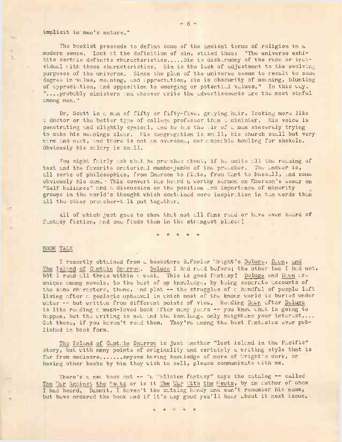### implicit in man's nature."

The booklet proceeds to define some of the ancient terms of religion in a modern sense. Look at the definition of sin, stated thus: "The universe exhibits certain definite characteristics..... Sin is disharmony of the race or individual vith those characteristics. Sin is the lack of adjustment to the evolving purposes of the universe. Since the plan of the universe seems to result to some degree in value, meaning, and appreciation, sin is obscurity of meaning, blunting of appreciation, and opposition to emerging or potential values." In this way, "....probably ministers and whoever write the advertisements are the most sinful among men."

Dr. Scott is a man of fifty or fifty-five, graying hair, looking more like a doctor or the better type of college professor than a minister. His voice is penetrating and slightly cynical, and he has the air of a man sincerely trying to make his meanings clear. His congregation is small, his church small but very warm and nest, and there is not an overdone, unreasonable howling for shekels. Obviously his salary is small.

You might fairly ask what he precches about, if he omits all the reading of text and the favorite oratorical mumbo-jumbo of the preacher. The answer is, all sorts of philosophies, from Emerson to Pluto, from Kant to Russell, and some obviously his own. ' This convert has heard a worthy sermon on Emerson's essay on "Self Reliance" and a discussion on the position and importance of minority groups in the world's thought which contained more inspiration in ten words than all the other preacher-talk put together.

All of which just goes to show that not all funs read or have even heard of fantasy fiction, and one-finds them in the strangest places!

\* \* \* \* \*

/

## BOOK TALK

I recently obtained from a bookstore S.Fowler 'Wright's Deluge, Dawn, and The Island of Captain Sparrow. Deluge I had read before; the other two I had not, but I read all three within a week. This is good fantasy! Deluge and Dawn areunique among novels, to the best of my knowledge, by being separate accounts of the same chiracters, theme, and plot  $-$  the struggles of a handful of people left living after a geologic upheaval in which most of the known world is buried under water -- but written from different points of view. Reading Dawn after Deluge is like reading a much-loved book after many years -- you know what is going to happen, but the writing is new and the knowledge only heightens your interest.... Get these, if you haven't read them. They're among the best fantasies ever published in book form.

The Island of Captuin Sparrow is just another "lost island in the Pacific" story, but with many points of originality and certainly a writing style that is far from mediocre....... Anyone having knowledge of more of "right's work, or having other books by him they wish to sell, please communicate with me.

There's a new book out -- "a Wellsian fantasy" says the catalog -- called The "Ar Against the Me; ts or is it The War 'Ath the Newts, by an author of whom I had heard. Dammit, I haven't the catalog handy and can't remember his name, but have ordered the book and if it's any good you'll hear about it next issue.

\* \* \* \*